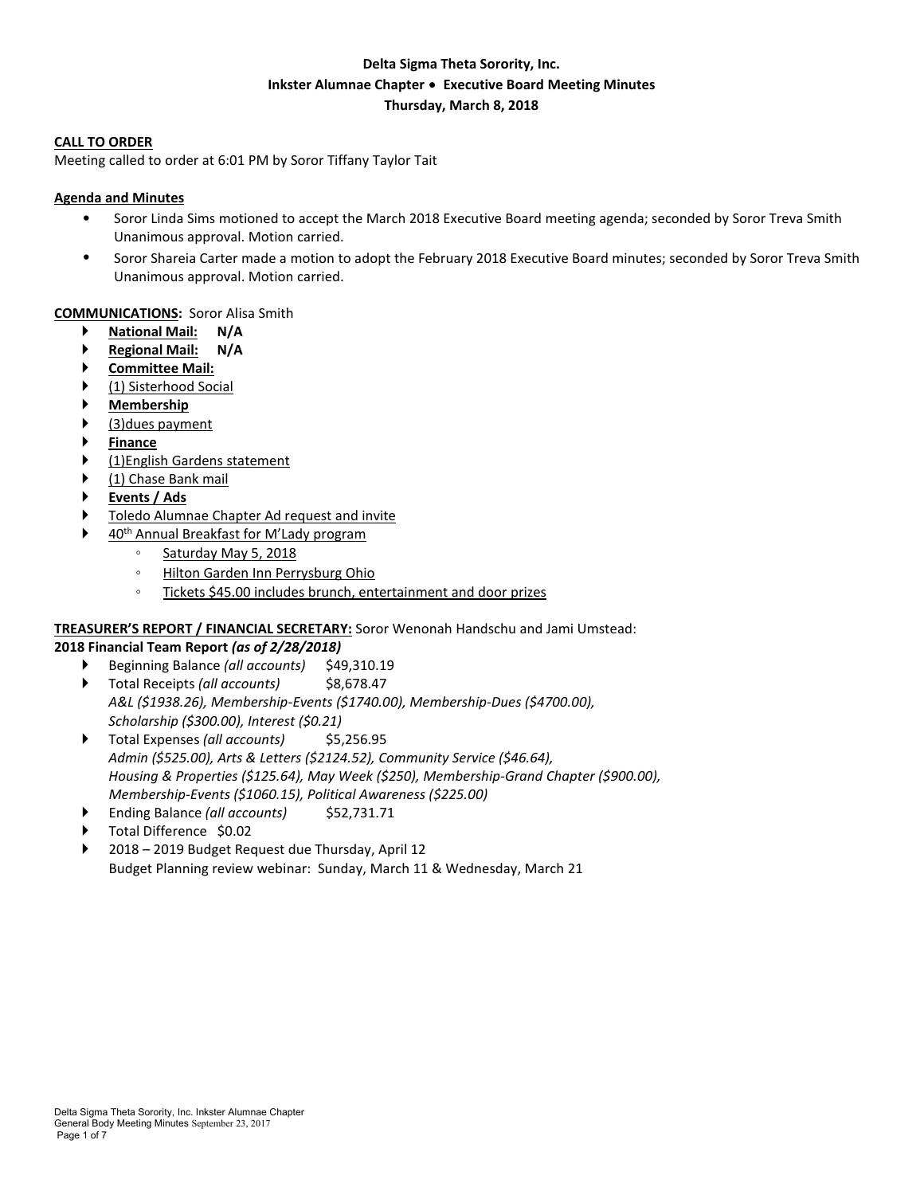# **Delta Sigma Theta Sorority, Inc. Inkster Alumnae Chapter** ∙ **Executive Board Meeting Minutes Thursday, March 8, 2018**

#### **CALL TO ORDER**

Meeting called to order at 6:01 PM by Soror Tiffany Taylor Tait

#### **Agenda and Minutes**

- Soror Linda Sims motioned to accept the March 2018 Executive Board meeting agenda; seconded by Soror Treva Smith Unanimous approval. Motion carried.
- Soror Shareia Carter made a motion to adopt the February 2018 Executive Board minutes; seconded by Soror Treva Smith Unanimous approval. Motion carried.

#### **COMMUNICATIONS:** Soror Alisa Smith

- **National Mail: N/A**
- **Regional Mail: N/A**
- **Committee Mail:**
- (1) Sisterhood Social
- **Membership**
- (3)dues payment
- **Finance**
- (1)English Gardens statement
- (1) Chase Bank mail
- **Events / Ads**
- Toledo Alumnae Chapter Ad request and invite
- 40th Annual Breakfast for M'Lady program
	- Saturday May 5, 2018
	- Hilton Garden Inn Perrysburg Ohio
	- Tickets \$45.00 includes brunch, entertainment and door prizes

# **TREASURER'S REPORT / FINANCIAL SECRETARY:** Soror Wenonah Handschu and Jami Umstead:

- **2018 Financial Team Report** *(as of 2/28/2018)* ▶ Beginning Balance *(all accounts)* \$49,310.19
	- ▶ Total Receipts (all *accounts*) **\$8,678.47** *A&L (\$1938.26), Membership-Events (\$1740.00), Membership-Dues (\$4700.00), Scholarship (\$300.00), Interest (\$0.21)*
	- ▶ Total Expenses (all *accounts*) \$5,256.95 *Admin (\$525.00), Arts & Letters (\$2124.52), Community Service (\$46.64), Housing & Properties (\$125.64), May Week (\$250), Membership-Grand Chapter (\$900.00), Membership-Events (\$1060.15), Political Awareness (\$225.00)*
	- Ending Balance *(all accounts)* \$52,731.71
	- Total Difference \$0.02
	- 2018 2019 Budget Request due Thursday, April 12 Budget Planning review webinar: Sunday, March 11 & Wednesday, March 21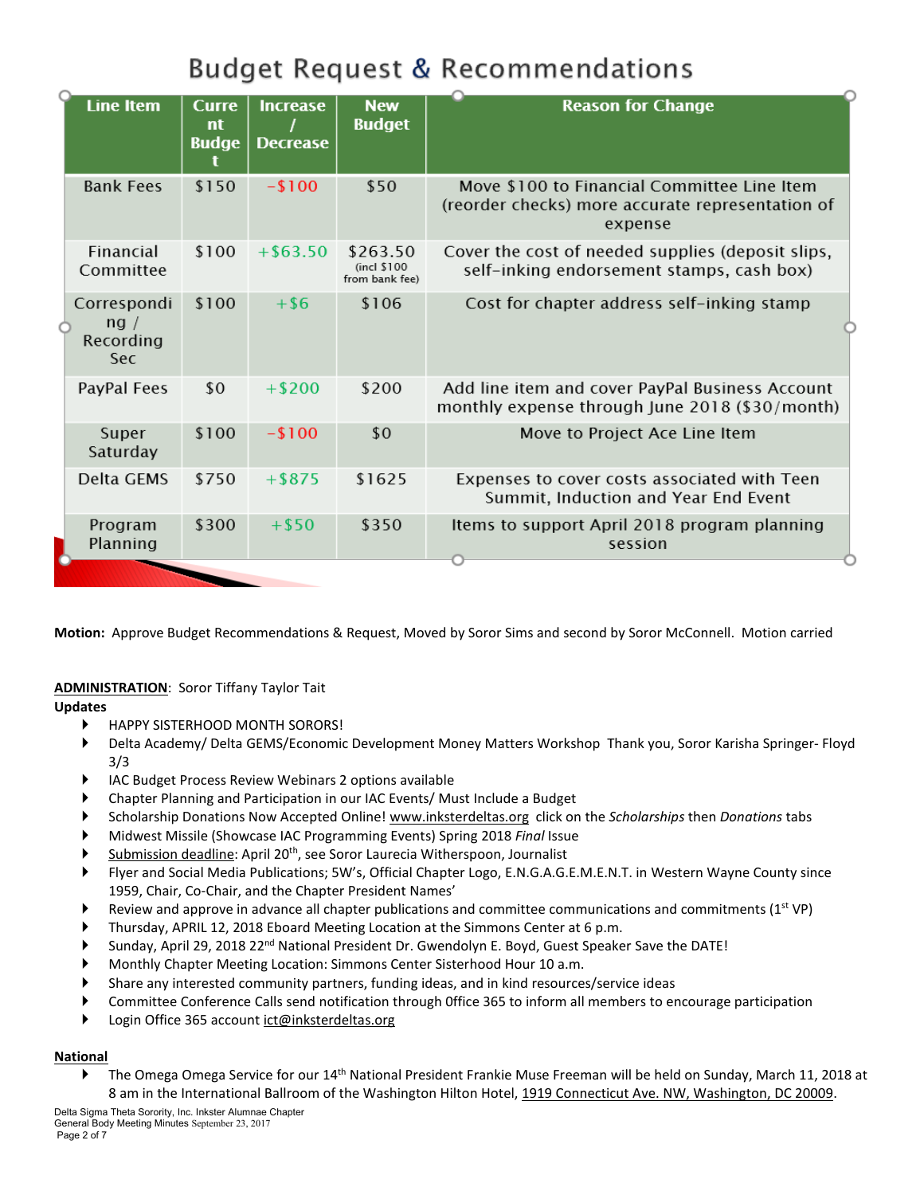# **Budget Request & Recommendations**

| <b>Line Item</b>                               | <b>Curre</b><br>nt<br><b>Budge</b> | <b>Increase</b><br><b>Decrease</b> | <b>New</b><br><b>Budget</b>               | <b>Reason for Change</b>                                                                                   |
|------------------------------------------------|------------------------------------|------------------------------------|-------------------------------------------|------------------------------------------------------------------------------------------------------------|
| <b>Bank Fees</b>                               | \$150                              | $-100$                             | \$50                                      | Move \$100 to Financial Committee Line Item<br>(reorder checks) more accurate representation of<br>expense |
| Financial<br>Committee                         | \$100                              | $+$ \$63.50                        | \$263.50<br>(incl \$100<br>from bank fee) | Cover the cost of needed supplies (deposit slips,<br>self-inking endorsement stamps, cash box)             |
| Correspondi<br>nq /<br>Recording<br><b>Sec</b> | \$100                              | $+$ \$6                            | \$106                                     | Cost for chapter address self-inking stamp                                                                 |
| PayPal Fees                                    | \$0                                | $+ $200$                           | \$200                                     | Add line item and cover PayPal Business Account<br>monthly expense through June 2018 (\$30/month)          |
| Super<br>Saturday                              | \$100                              | $-100$                             | \$0                                       | Move to Project Ace Line Item                                                                              |
| Delta GEMS                                     | \$750                              | $+$ \$875                          | \$1625                                    | Expenses to cover costs associated with Teen<br>Summit, Induction and Year End Event                       |
| Program<br>Planning                            | \$300                              | $+$ \$50                           | \$350                                     | Items to support April 2018 program planning<br>session                                                    |

**Motion:** Approve Budget Recommendations & Request, Moved by Soror Sims and second by Soror McConnell. Motion carried

**ADMINISTRATION**: Soror Tiffany Taylor Tait

# **Updates**

- HAPPY SISTERHOOD MONTH SORORS!
- Delta Academy/ Delta GEMS/Economic Development Money Matters Workshop Thank you, Soror Karisha Springer- Floyd 3/3
- IAC Budget Process Review Webinars 2 options available
- Chapter Planning and Participation in our IAC Events/ Must Include a Budget
- Scholarship Donations Now Accepted Online! www.inksterdeltas.org click on the *Scholarships* then *Donations* tabs
- Midwest Missile (Showcase IAC Programming Events) Spring 2018 *Final* Issue
- Submission deadline: April 20<sup>th</sup>, see Soror Laurecia Witherspoon, Journalist
- Flyer and Social Media Publications; 5W's, Official Chapter Logo, E.N.G.A.G.E.M.E.N.T. in Western Wayne County since 1959, Chair, Co-Chair, and the Chapter President Names'
- Review and approve in advance all chapter publications and committee communications and commitments  $(1^{st} VP)$
- Thursday, APRIL 12, 2018 Eboard Meeting Location at the Simmons Center at 6 p.m.
- Sunday, April 29, 2018 22<sup>nd</sup> National President Dr. Gwendolyn E. Boyd, Guest Speaker Save the DATE!
- Monthly Chapter Meeting Location: Simmons Center Sisterhood Hour 10 a.m.
- Share any interested community partners, funding ideas, and in kind resources/service ideas
- Committee Conference Calls send notification through 0ffice 365 to inform all members to encourage participation
- Login Office 365 account ict@inksterdeltas.org

# **National**

The Omega Omega Service for our  $14<sup>th</sup>$  National President Frankie Muse Freeman will be held on Sunday, March 11, 2018 at 8 am in the International Ballroom of the Washington Hilton Hotel, 1919 Connecticut Ave. NW, Washington, DC 20009.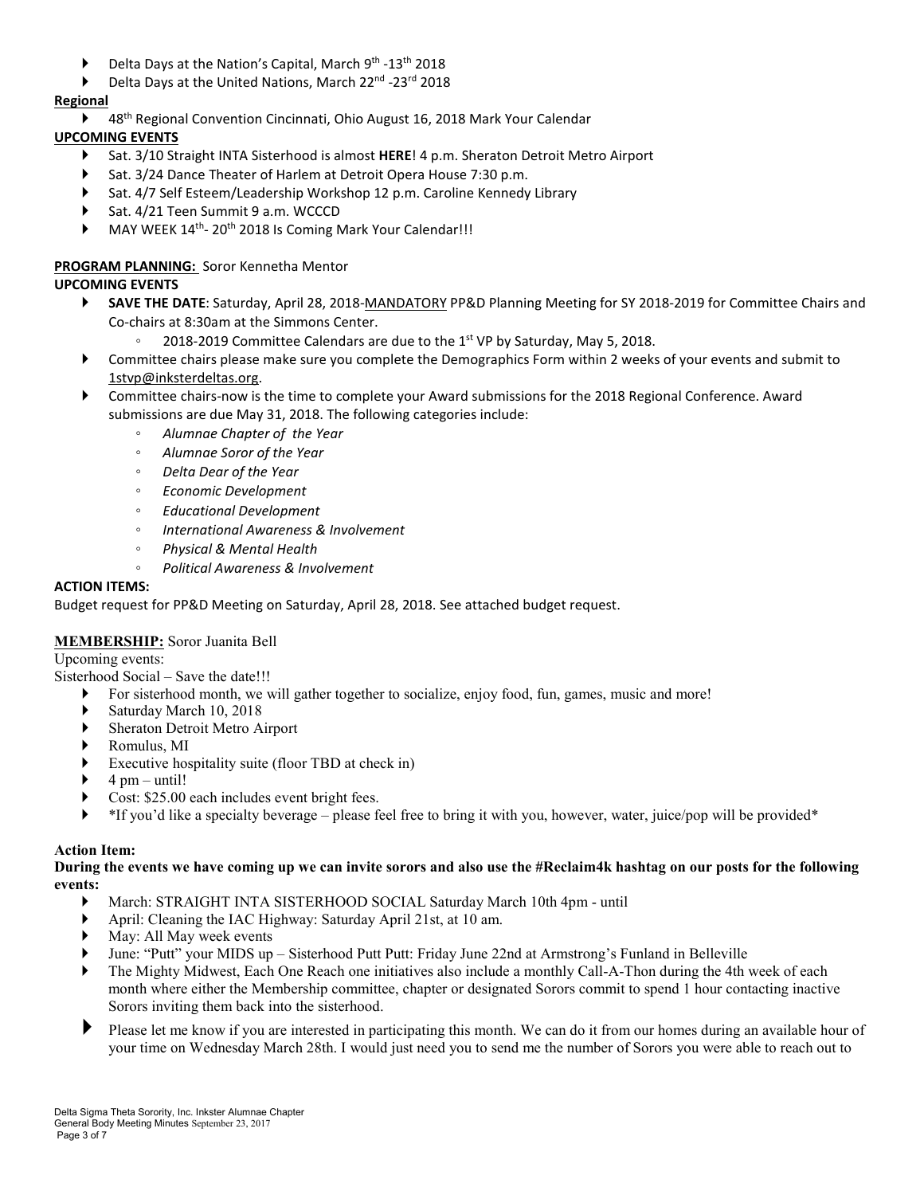- $\blacktriangleright$  Delta Days at the Nation's Capital, March 9<sup>th</sup> -13<sup>th</sup> 2018
- Delta Days at the United Nations, March 22<sup>nd</sup> -23<sup>rd</sup> 2018

# **Regional**

▶ 48<sup>th</sup> Regional Convention Cincinnati, Ohio August 16, 2018 Mark Your Calendar

# **UPCOMING EVENTS**

- Sat. 3/10 Straight INTA Sisterhood is almost **HERE**! 4 p.m. Sheraton Detroit Metro Airport
- Sat. 3/24 Dance Theater of Harlem at Detroit Opera House 7:30 p.m.
- Sat. 4/7 Self Esteem/Leadership Workshop 12 p.m. Caroline Kennedy Library
- Sat. 4/21 Teen Summit 9 a.m. WCCCD
- MAY WEEK 14<sup>th</sup>- 20<sup>th</sup> 2018 Is Coming Mark Your Calendar!!!

# **PROGRAM PLANNING:** Soror Kennetha Mentor

# **UPCOMING EVENTS**

- **SAVE THE DATE**: Saturday, April 28, 2018-MANDATORY PP&D Planning Meeting for SY 2018-2019 for Committee Chairs and Co-chairs at 8:30am at the Simmons Center.
	- 2018-2019 Committee Calendars are due to the 1st VP by Saturday, May 5, 2018.
- Committee chairs please make sure you complete the Demographics Form within 2 weeks of your events and submit to 1stvp@inksterdeltas.org.
- Committee chairs-now is the time to complete your Award submissions for the 2018 Regional Conference. Award submissions are due May 31, 2018. The following categories include:
	- *Alumnae Chapter of the Year*
	- *Alumnae Soror of the Year*
	- *Delta Dear of the Year*
	- *Economic Development*
	- *Educational Development*
	- *International Awareness & Involvement*
	- *Physical & Mental Health*
	- *Political Awareness & Involvement*

# **ACTION ITEMS:**

Budget request for PP&D Meeting on Saturday, April 28, 2018. See attached budget request.

# **MEMBERSHIP:** Soror Juanita Bell

Upcoming events:

Sisterhood Social – Save the date!!!

- For sisterhood month, we will gather together to socialize, enjoy food, fun, games, music and more!
- Saturday March 10, 2018
- Sheraton Detroit Metro Airport
- Romulus, MI
- Executive hospitality suite (floor TBD at check in)
- $\rightarrow$  4 pm until!
- Cost: \$25.00 each includes event bright fees.
- \*If you'd like a specialty beverage please feel free to bring it with you, however, water, juice/pop will be provided\*

# **Action Item:**

#### During the events we have coming up we can invite sorors and also use the #Reclaim4k hashtag on our posts for the following **events:**

- March: STRAIGHT INTA SISTERHOOD SOCIAL Saturday March 10th 4pm until
- April: Cleaning the IAC Highway: Saturday April 21st, at 10 am.
- May: All May week events
- June: "Putt" your MIDS up Sisterhood Putt Putt: Friday June 22nd at Armstrong's Funland in Belleville
- The Mighty Midwest, Each One Reach one initiatives also include a monthly Call-A-Thon during the 4th week of each month where either the Membership committee, chapter or designated Sorors commit to spend 1 hour contacting inactive Sorors inviting them back into the sisterhood.
- Please let me know if you are interested in participating this month. We can do it from our homes during an available hour of your time on Wednesday March 28th. I would just need you to send me the number of Sorors you were able to reach out to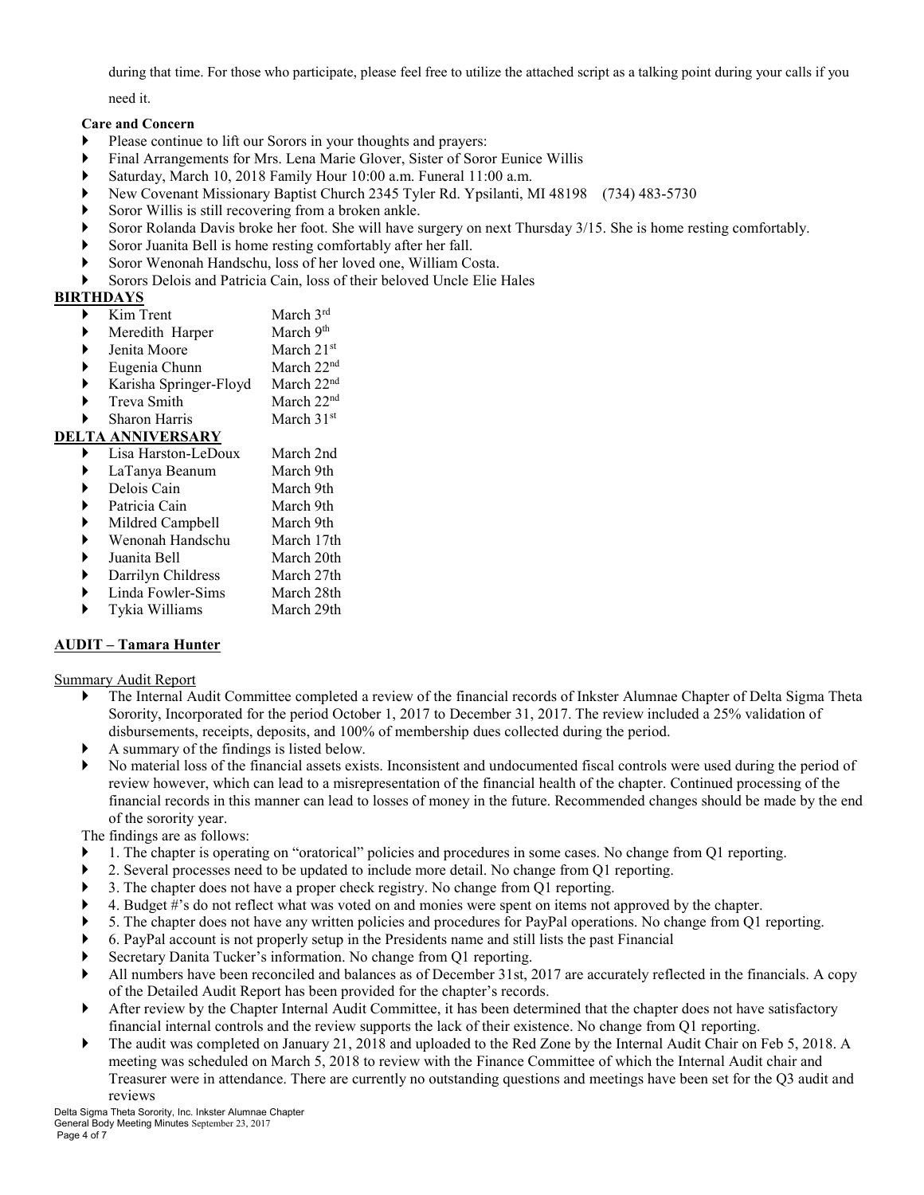during that time. For those who participate, please feel free to utilize the attached script as a talking point during your calls if you

need it.

#### **Care and Concern**

- Please continue to lift our Sorors in your thoughts and prayers:
- Final Arrangements for Mrs. Lena Marie Glover, Sister of Soror Eunice Willis
- Saturday, March 10, 2018 Family Hour 10:00 a.m. Funeral 11:00 a.m.
- New Covenant Missionary Baptist Church 2345 Tyler Rd. Ypsilanti, MI 48198 (734) 483-5730
- Soror Willis is still recovering from a broken ankle.
- Soror Rolanda Davis broke her foot. She will have surgery on next Thursday 3/15. She is home resting comfortably.
- Soror Juanita Bell is home resting comfortably after her fall.
- Soror Wenonah Handschu, loss of her loved one, William Costa.
- Sorors Delois and Patricia Cain, loss of their beloved Uncle Elie Hales

# **BIRTHDAYS**

- Kim Trent March 3rd
- Meredith Harper March 9th
- Jenita Moore March 21st
- $\blacktriangleright$  Eugenia Chunn March 22<sup>nd</sup>
- Karisha Springer-Floyd March 22nd
- Treva Smith March 22<sup>nd</sup>
- Sharon Harris March 31<sup>st</sup>

# **DELTA ANNIVERSARY**

- Lisa Harston-LeDoux March 2nd LaTanya Beanum March 9th Delois Cain March 9th Patricia Cain March 9th
- 
- Mildred Campbell March 9th
- Wenonah Handschu March 17th Juanita Bell March 20th
- 
- Darrilyn Childress March 27th
- Linda Fowler-Sims March 28th
- Tykia Williams March 29th

# **AUDIT – Tamara Hunter**

Summary Audit Report

- The Internal Audit Committee completed a review of the financial records of Inkster Alumnae Chapter of Delta Sigma Theta Sorority, Incorporated for the period October 1, 2017 to December 31, 2017. The review included a 25% validation of disbursements, receipts, deposits, and 100% of membership dues collected during the period.
- A summary of the findings is listed below.
- No material loss of the financial assets exists. Inconsistent and undocumented fiscal controls were used during the period of review however, which can lead to a misrepresentation of the financial health of the chapter. Continued processing of the financial records in this manner can lead to losses of money in the future. Recommended changes should be made by the end of the sorority year.

The findings are as follows:

- 1. The chapter is operating on "oratorical" policies and procedures in some cases. No change from Q1 reporting.
- 2. Several processes need to be updated to include more detail. No change from Q1 reporting.
- 3. The chapter does not have a proper check registry. No change from Q1 reporting.
- 4. Budget #'s do not reflect what was voted on and monies were spent on items not approved by the chapter.
- 5. The chapter does not have any written policies and procedures for PayPal operations. No change from Q1 reporting.
- 6. PayPal account is not properly setup in the Presidents name and still lists the past Financial
- Secretary Danita Tucker's information. No change from Q1 reporting.
- All numbers have been reconciled and balances as of December 31st, 2017 are accurately reflected in the financials. A copy of the Detailed Audit Report has been provided for the chapter's records.
- After review by the Chapter Internal Audit Committee, it has been determined that the chapter does not have satisfactory financial internal controls and the review supports the lack of their existence. No change from Q1 reporting.
- The audit was completed on January 21, 2018 and uploaded to the Red Zone by the Internal Audit Chair on Feb 5, 2018. A meeting was scheduled on March 5, 2018 to review with the Finance Committee of which the Internal Audit chair and Treasurer were in attendance. There are currently no outstanding questions and meetings have been set for the Q3 audit and reviews

Delta Sigma Theta Sorority, Inc. Inkster Alumnae Chapter General Body Meeting Minutes September 23, 2017 Page 4 of 7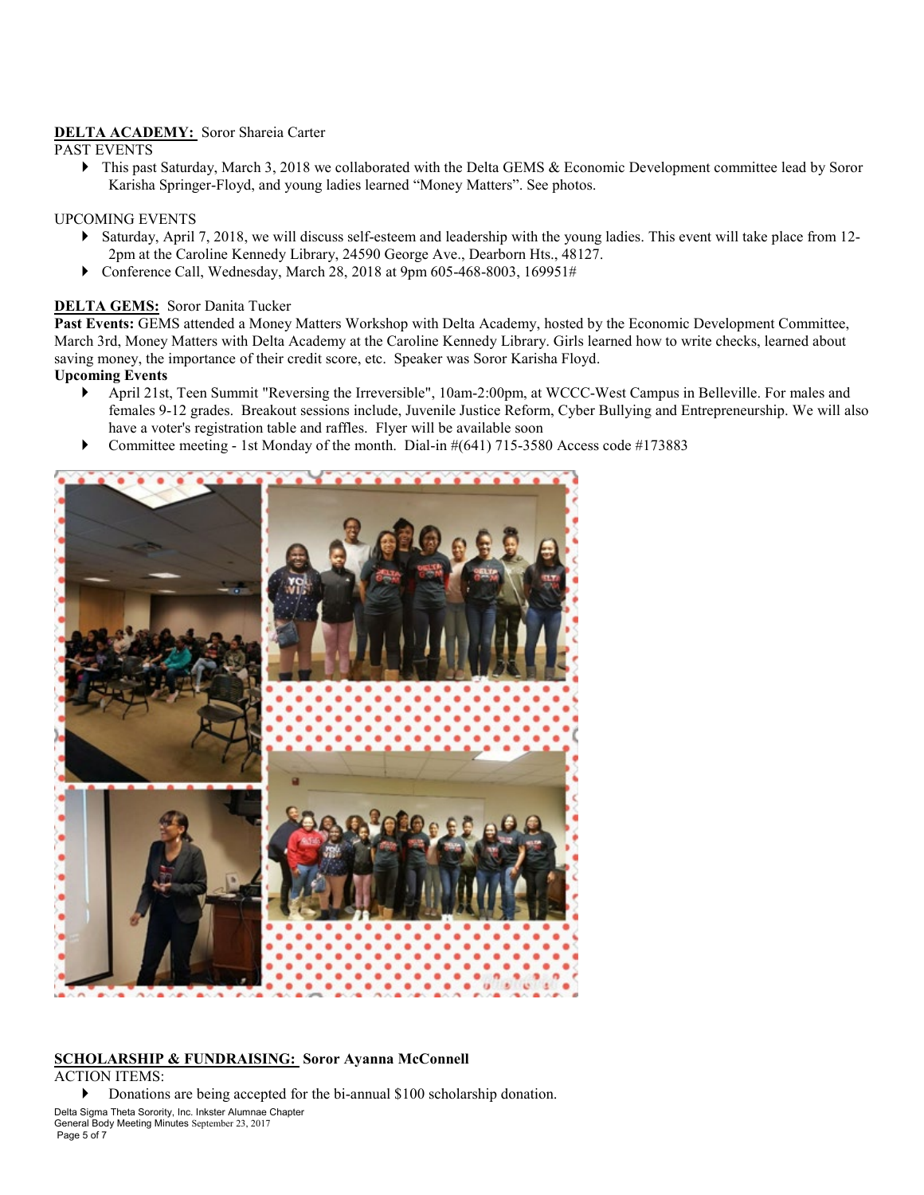# **DELTA ACADEMY:** Soror Shareia Carter

PAST EVENTS

▶ This past Saturday, March 3, 2018 we collaborated with the Delta GEMS & Economic Development committee lead by Soror Karisha Springer-Floyd, and young ladies learned "Money Matters". See photos.

#### UPCOMING EVENTS

- Saturday, April 7, 2018, we will discuss self-esteem and leadership with the young ladies. This event will take place from 12- 2pm at the Caroline Kennedy Library, 24590 George Ave., Dearborn Hts., 48127.
- Conference Call, Wednesday, March 28, 2018 at 9pm 605-468-8003, 169951#

# **DELTA GEMS:** Soror Danita Tucker

**Past Events:** GEMS attended a Money Matters Workshop with Delta Academy, hosted by the Economic Development Committee, March 3rd, Money Matters with Delta Academy at the Caroline Kennedy Library. Girls learned how to write checks, learned about saving money, the importance of their credit score, etc. Speaker was Soror Karisha Floyd.

#### **Upcoming Events**

- April 21st, Teen Summit "Reversing the Irreversible", 10am-2:00pm, at WCCC-West Campus in Belleville. For males and females 9-12 grades. Breakout sessions include, Juvenile Justice Reform, Cyber Bullying and Entrepreneurship. We will also have a voter's registration table and raffles. Flyer will be available soon
- Committee meeting 1st Monday of the month. Dial-in  $\#(641)$  715-3580 Access code  $\#173883$



# **SCHOLARSHIP & FUNDRAISING: Soror Ayanna McConnell**

ACTION ITEMS:

Donations are being accepted for the bi-annual \$100 scholarship donation.

Delta Sigma Theta Sorority, Inc. Inkster Alumnae Chapter General Body Meeting Minutes September 23, 2017 Page 5 of 7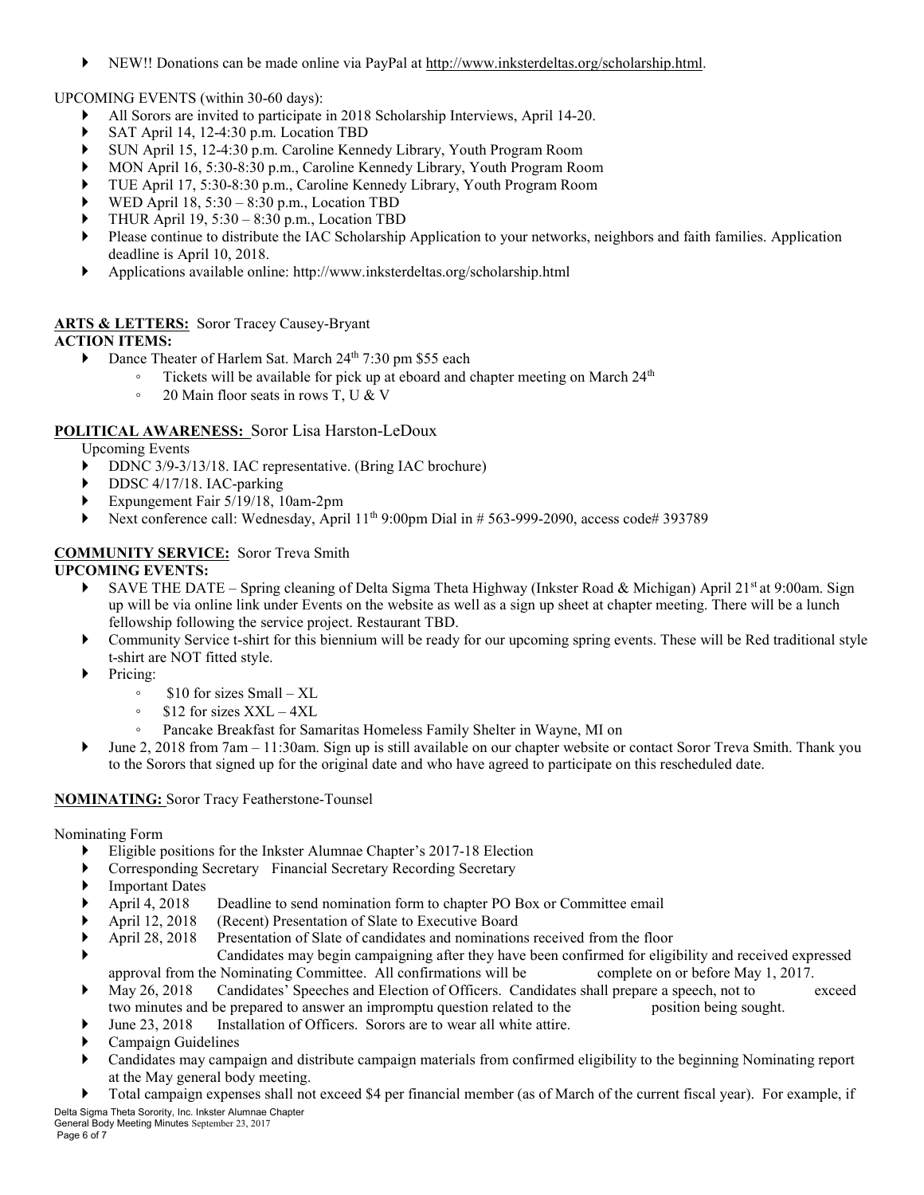NEW!! Donations can be made online via PayPal at http://www.inksterdeltas.org/scholarship.html.

UPCOMING EVENTS (within 30-60 days):

- All Sorors are invited to participate in 2018 Scholarship Interviews, April 14-20.
- SAT April 14, 12-4:30 p.m. Location TBD
- SUN April 15, 12-4:30 p.m. Caroline Kennedy Library, Youth Program Room
- MON April 16, 5:30-8:30 p.m., Caroline Kennedy Library, Youth Program Room
- TUE April 17, 5:30-8:30 p.m., Caroline Kennedy Library, Youth Program Room
- WED April 18, 5:30 8:30 p.m., Location TBD
- THUR April 19, 5:30 8:30 p.m., Location TBD
- Please continue to distribute the IAC Scholarship Application to your networks, neighbors and faith families. Application deadline is April 10, 2018.
- Applications available online: http://www.inksterdeltas.org/scholarship.html

#### **ARTS & LETTERS:** Soror Tracey Causey-Bryant **ACTION ITEMS:**

- Dance Theater of Harlem Sat. March 24<sup>th</sup> 7:30 pm \$55 each
	- $\degree$  Tickets will be available for pick up at eboard and chapter meeting on March 24<sup>th</sup>
		- 20 Main floor seats in rows T, U & V

# **POLITICAL AWARENESS:** Soror Lisa Harston-LeDoux

Upcoming Events

- DDNC 3/9-3/13/18. IAC representative. (Bring IAC brochure)
- DDSC 4/17/18. IAC-parking
- Expungement Fair 5/19/18, 10am-2pm
- Next conference call: Wednesday, April  $11<sup>th</sup>$  9:00pm Dial in # 563-999-2090, access code# 393789

# **COMMUNITY SERVICE:** Soror Treva Smith

# **UPCOMING EVENTS:**

- SAVE THE DATE Spring cleaning of Delta Sigma Theta Highway (Inkster Road & Michigan) April 21st at 9:00am. Sign up will be via online link under Events on the website as well as a sign up sheet at chapter meeting. There will be a lunch fellowship following the service project. Restaurant TBD.
- Community Service t-shirt for this biennium will be ready for our upcoming spring events. These will be Red traditional style t-shirt are NOT fitted style.
- Pricing:
	- \$10 for sizes Small XL
	- $$12$  for sizes  $XXL 4XL$
	- Pancake Breakfast for Samaritas Homeless Family Shelter in Wayne, MI on
- June 2, 2018 from 7am 11:30am. Sign up is still available on our chapter website or contact Soror Treva Smith. Thank you to the Sorors that signed up for the original date and who have agreed to participate on this rescheduled date.

# **NOMINATING:** Soror Tracy Featherstone-Tounsel

Nominating Form

- Eligible positions for the Inkster Alumnae Chapter's 2017-18 Election
- Corresponding Secretary Financial Secretary Recording Secretary
- ▶ Important Dates
- April 4, 2018 Deadline to send nomination form to chapter PO Box or Committee email
- April 12, 2018 (Recent) Presentation of Slate to Executive Board
- April 28, 2018 Presentation of Slate of candidates and nominations received from the floor
- Candidates may begin campaigning after they have been confirmed for eligibility and received expressed approval from the Nominating Committee. All confirmations will be complete on or before May 1, 2017.
- May 26, 2018 Candidates' Speeches and Election of Officers. Candidates shall prepare a speech, not to exceed two minutes and be prepared to answer an impromptu question related to the position being sought.
- June 23, 2018 Installation of Officers. Sorors are to wear all white attire.
- Campaign Guidelines
- Candidates may campaign and distribute campaign materials from confirmed eligibility to the beginning Nominating report at the May general body meeting.
- Delta Sigma Theta Sorority, Inc. Inkster Alumnae Chapter Total campaign expenses shall not exceed \$4 per financial member (as of March of the current fiscal year). For example, if